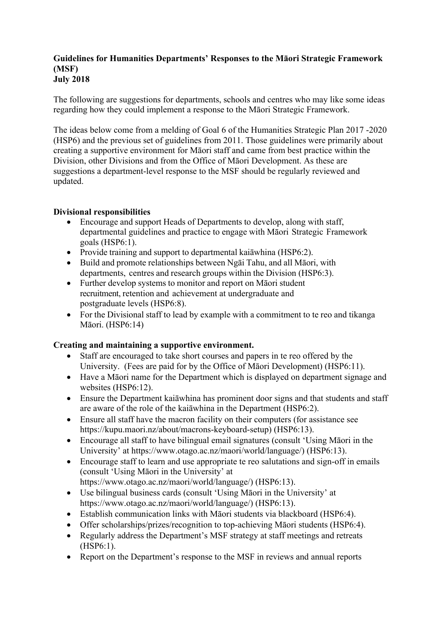#### **Guidelines for Humanities Departments' Responses to the Māori Strategic Framework (MSF) July 2018**

The following are suggestions for departments, schools and centres who may like some ideas regarding how they could implement a response to the Māori Strategic Framework.

The ideas below come from a melding of Goal 6 of the Humanities Strategic Plan 2017 -2020 (HSP6) and the previous set of guidelines from 2011. Those guidelines were primarily about creating a supportive environment for Māori staff and came from best practice within the Division, other Divisions and from the Office of Māori Development. As these are suggestions a department-level response to the MSF should be regularly reviewed and updated.

### **Divisional responsibilities**

- Encourage and support Heads of Departments to develop, along with staff, departmental guidelines and practice to engage with Māori Strategic Framework goals (HSP6:1).
- Provide training and support to departmental kaiāwhina (HSP6:2).
- Build and promote relationships between Ngāi Tahu, and all Māori, with departments, centres and research groups within the Division (HSP6:3).
- Further develop systems to monitor and report on Māori student recruitment, retention and achievement at undergraduate and postgraduate levels (HSP6:8).
- For the Divisional staff to lead by example with a commitment to te reo and tikanga Māori. (HSP6:14)

## **Creating and maintaining a supportive environment.**

- Staff are encouraged to take short courses and papers in te reo offered by the University. (Fees are paid for by the Office of Māori Development) (HSP6:11).
- Have a Māori name for the Department which is displayed on department signage and websites (HSP6:12).
- Ensure the Department kaiāwhina has prominent door signs and that students and staff are aware of the role of the kaiāwhina in the Department (HSP6:2).
- Ensure all staff have the macron facility on their computers (for assistance see https://kupu.maori.nz/about/macrons-keyboard-setup) (HSP6:13).
- Encourage all staff to have bilingual email signatures (consult 'Using Māori in the University' at https://www.otago.ac.nz/maori/world/language/) (HSP6:13).
- Encourage staff to learn and use appropriate te reo salutations and sign-off in emails (consult 'Using Māori in the University' at https://www.otago.ac.nz/maori/world/language/) (HSP6:13).
- Use bilingual business cards (consult 'Using Māori in the University' at https://www.otago.ac.nz/maori/world/language/) (HSP6:13).
- Establish communication links with Māori students via blackboard (HSP6:4).
- Offer scholarships/prizes/recognition to top-achieving Māori students (HSP6:4).
- Regularly address the Department's MSF strategy at staff meetings and retreats (HSP6:1).
- Report on the Department's response to the MSF in reviews and annual reports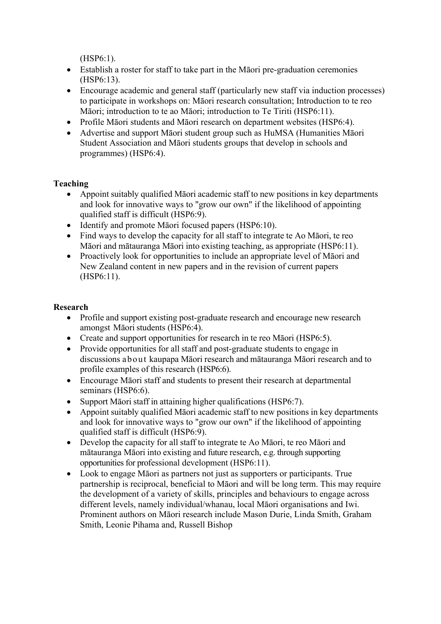(HSP6:1).

- Establish a roster for staff to take part in the Māori pre-graduation ceremonies (HSP6:13).
- Encourage academic and general staff (particularly new staff via induction processes) to participate in workshops on: Māori research consultation; Introduction to te reo Māori; introduction to te ao Māori; introduction to Te Tiriti (HSP6:11).
- Profile Māori students and Māori research on department websites (HSP6:4).
- Advertise and support Māori student group such as HuMSA (Humanities Māori Student Association and Māori students groups that develop in schools and programmes) (HSP6:4).

## **Teaching**

- Appoint suitably qualified Māori academic staff to new positions in key departments and look for innovative ways to "grow our own" if the likelihood of appointing qualified staff is difficult (HSP6:9).
- Identify and promote Māori focused papers (HSP6:10).
- Find ways to develop the capacity for all staff to integrate te Ao Māori, te reo Māori and mātauranga Māori into existing teaching, as appropriate (HSP6:11).
- Proactively look for opportunities to include an appropriate level of Māori and New Zealand content in new papers and in the revision of current papers (HSP6:11).

## **Research**

- Profile and support existing post-graduate research and encourage new research amongst Māoristudents (HSP6:4).
- Create and support opportunities for research in te reo Māori (HSP6:5).
- Provide opportunities for all staff and post-graduate students to engage in discussions about kaupapa Māori research and mātauranga Māori research and to profile examples of this research (HSP6:6).
- Encourage Māori staff and students to present their research at departmental seminars (HSP6:6).
- Support Māori staff in attaining higher qualifications (HSP6:7).
- Appoint suitably qualified Māori academic staff to new positions in key departments and look for innovative ways to "grow our own" if the likelihood of appointing qualified staff is difficult (HSP6:9).
- Develop the capacity for all staff to integrate te Ao Māori, te reo Māori and mātauranga Māori into existing and future research, e.g. through supporting opportunities for professional development (HSP6:11).
- Look to engage Māori as partners not just as supporters or participants. True partnership is reciprocal, beneficial to Māori and will be long term. This may require the development of a variety of skills, principles and behaviours to engage across different levels, namely individual/whanau, local Māori organisations and Iwi. Prominent authors on Māori research include Mason Durie, Linda Smith, Graham Smith, Leonie Pihama and, Russell Bishop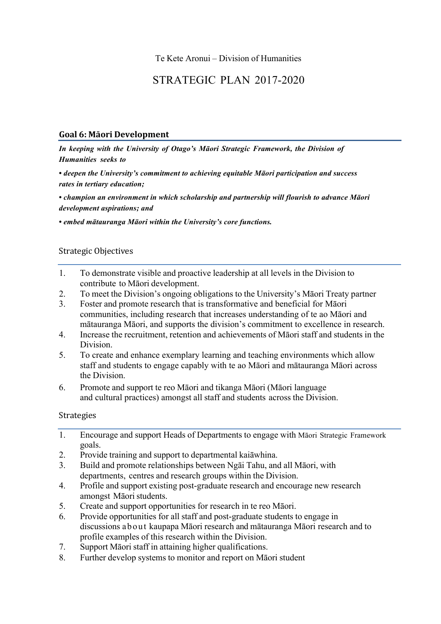# STRATEGIC PLAN 2017-2020

#### **Goal 6: Māori Development**

*In keeping with the University of Otago's Māori Strategic Framework, the Division of Humanities seeks to*

*• deepen the University's commitment to achieving equitable Māori participation and success rates in tertiary education;*

*• champion an environment in which scholarship and partnership will flourish to advance Māori development aspirations; and*

*• embed mātauranga Māori within the University's core functions.*

#### Strategic Objectives

- 1. To demonstrate visible and proactive leadership at all levels in the Division to contribute to Māori development.
- 2. To meet the Division's ongoing obligations to the University's Māori Treaty partner
- 3. Foster and promote research that is transformative and beneficial for Māori communities, including research that increases understanding of te ao Māori and mātauranga Māori, and supports the division's commitment to excellence in research.
- 4. Increase the recruitment, retention and achievements of Māori staff and students in the Division.
- 5. To create and enhance exemplary learning and teaching environments which allow staff and students to engage capably with te ao Māori and mātauranga Māori across the Division.
- 6. Promote and support te reo Māori and tikanga Māori (Māori language and cultural practices) amongst all staff and students across the Division.

#### Strategies

- 1. Encourage and support Heads of Departments to engage with Māori Strategic Framework goals.
- 2. Provide training and support to departmental kaiāwhina.
- 3. Build and promote relationships between Ngāi Tahu, and all Māori, with departments, centres and research groups within the Division.
- 4. Profile and support existing post-graduate research and encourage new research amongst Māori students.
- 5. Create and support opportunities for research in te reo Māori.
- 6. Provide opportunities for all staff and post-graduate students to engage in discussions about kaupapa Māori research and mātauranga Māori research and to profile examples of this research within the Division.
- 7. Support Māori staff in attaining higher qualifications.
- 8. Further develop systems to monitor and report on Māori student